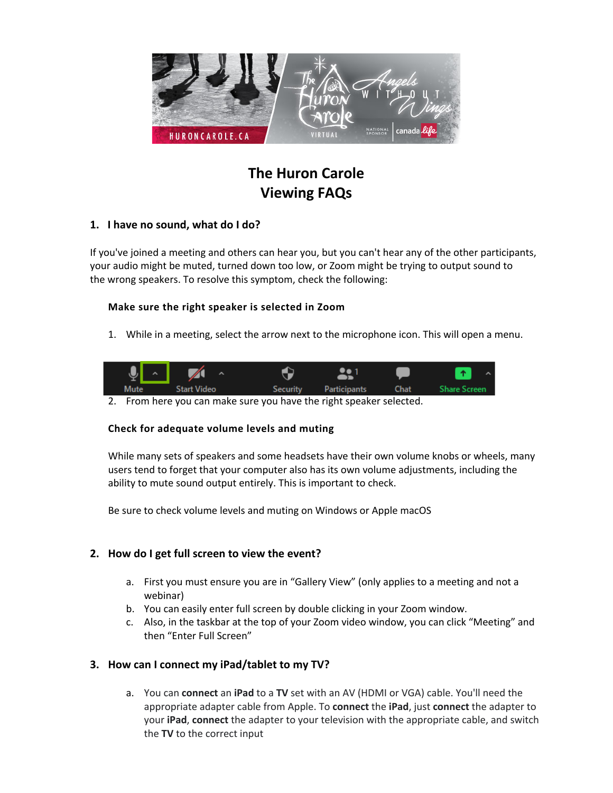

# **The Huron Carole Viewing FAQs**

# **1. I have no sound, what do I do?**

If you've joined a meeting and others can hear you, but you can't hear any of the other participants, your audio might be muted, turned down too low, or Zoom might be trying to output sound to the wrong speakers. To resolve this symptom, check the following:

## **Make sure the right speaker is selected in Zoom**

1. While in a meeting, select the arrow next to the microphone icon. This will open a menu.

| $\overline{\mathbf{J}}$ | $\sim$ $\sqrt{}$<br>$\hat{\phantom{a}}$ |                                         |  |
|-------------------------|-----------------------------------------|-----------------------------------------|--|
| Mute                    | <b>Start Video</b>                      | Security Participants Chat Share Screen |  |
|                         |                                         |                                         |  |

2. From here you can make sure you have the right speaker selected.

# **Check for adequate volume levels and muting**

While many sets of speakers and some headsets have their own volume knobs or wheels, many users tend to forget that your computer also has its own volume adjustments, including the ability to mute sound output entirely. This is important to check.

Be sure to check volume levels and muting on Windows or Apple macOS

# **2. How do I get full screen to view the event?**

- a. First you must ensure you are in "Gallery View" (only applies to a meeting and not a webinar)
- b. You can easily enter full screen by double clicking in your Zoom window.
- c. Also, in the taskbar at the top of your Zoom video window, you can click "Meeting" and then "Enter Full Screen"

# **3. How can I connect my iPad/tablet to my TV?**

a. You can **connect** an **iPad** to a **TV** set with an AV (HDMI or VGA) cable. You'll need the appropriate adapter cable from Apple. To **connect** the **iPad**, just **connect** the adapter to your **iPad**, **connect** the adapter to your television with the appropriate cable, and switch the **TV** to the correct input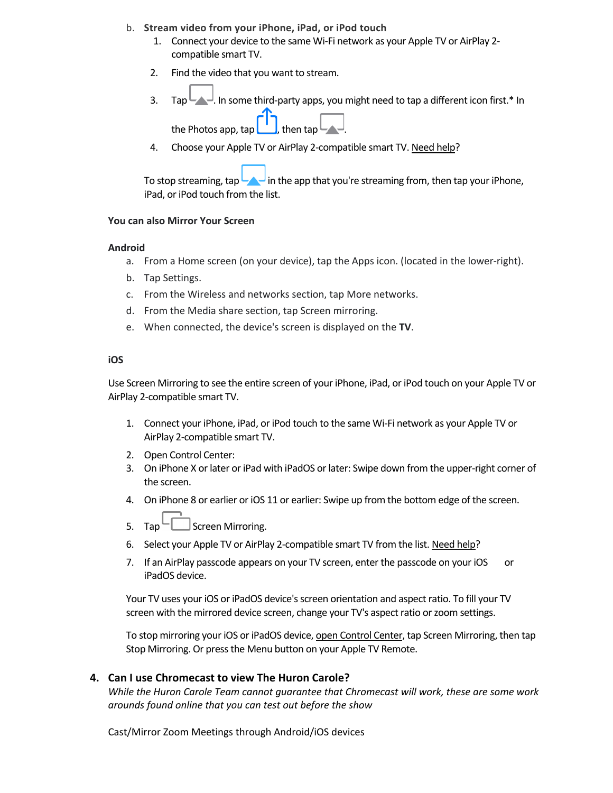- b. **Stream video from your iPhone, iPad, or iPod touch**
	- 1. Connect your device to the same Wi-Fi network as your Apple TV or AirPlay 2 compatible smart TV.
	- 2. Find the video that you want to stream.
	- 3. Tap  $\blacksquare$  In some third-party apps, you might need to tap a different icon first.\* In

the Photos app, tap  $\Box$ , then tap  $\Box$ 

4. Choose your Apple TV or AirPlay 2-compatible smart TV. Need help?

To stop streaming,  $\tan \frac{1}{2}$  in the app that you're streaming from, then tap your iPhone, iPad, or iPod touch from the list.

#### **You can also Mirror Your Screen**

#### **Android**

- a. From a Home screen (on your device), tap the Apps icon. (located in the lower-right).
- b. Tap Settings.
- c. From the Wireless and networks section, tap More networks.
- d. From the Media share section, tap Screen mirroring.
- e. When connected, the device's screen is displayed on the **TV**.

#### **iOS**

Use Screen Mirroring to see the entire screen of your iPhone, iPad, or iPod touch on your Apple TV or AirPlay 2-compatible smart TV.

- 1. Connect your iPhone, iPad, or iPod touch to the same Wi-Fi network as your Apple TV or AirPlay 2-compatible smart TV.
- 2. Open Control Center:
- 3. On iPhone X or later or iPad with iPadOS or later: Swipe down from the upper-right corner of the screen.
- 4. On iPhone 8 or earlier or iOS 11 or earlier: Swipe up from the bottom edge of the screen.
- 5. Tap  $\Box$  Screen Mirroring.
- 6. Select your Apple TV or AirPlay 2-compatible smart TV from the list. Need help?
- 7. If an AirPlay passcode appears on your TV screen, enter the passcode on your iOS or iPadOS device.

Your TV uses your iOS or iPadOS device's screen orientation and aspect ratio. To fill your TV screen with the mirrored device screen, change your TV's aspect ratio or zoom settings.

To stop mirroring your iOS or iPadOS device, open Control Center, tap Screen Mirroring, then tap Stop Mirroring. Or press the Menu button on your Apple TV Remote.

## **4. Can I use Chromecast to view The Huron Carole?**

*While the Huron Carole Team cannot guarantee that Chromecast will work, these are some work arounds found online that you can test out before the show*

Cast/Mirror Zoom Meetings through Android/iOS devices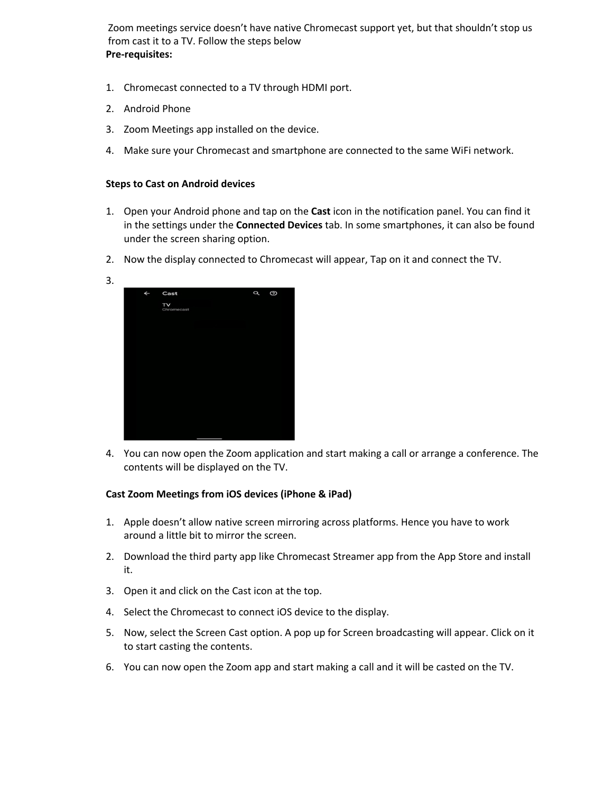Zoom meetings service doesn't have native Chromecast support yet, but that shouldn't stop us from cast it to a TV. Follow the steps below **Pre-requisites:**

- 1. Chromecast connected to a TV through HDMI port.
- 2. Android Phone
- 3. Zoom Meetings app installed on the device.
- 4. Make sure your Chromecast and smartphone are connected to the same WiFi network.

#### **Steps to Cast on Android devices**

- 1. Open your Android phone and tap on the **Cast** icon in the notification panel. You can find it in the settings under the **Connected Devices** tab. In some smartphones, it can also be found under the screen sharing option.
- 2. Now the display connected to Chromecast will appear, Tap on it and connect the TV.



4. You can now open the Zoom application and start making a call or arrange a conference. The contents will be displayed on the TV.

## **Cast Zoom Meetings from iOS devices (iPhone & iPad)**

- 1. Apple doesn't allow native screen mirroring across platforms. Hence you have to work around a little bit to mirror the screen.
- 2. Download the third party app like Chromecast Streamer app from the App Store and install it.
- 3. Open it and click on the Cast icon at the top.
- 4. Select the Chromecast to connect iOS device to the display.
- 5. Now, select the Screen Cast option. A pop up for Screen broadcasting will appear. Click on it to start casting the contents.
- 6. You can now open the Zoom app and start making a call and it will be casted on the TV.